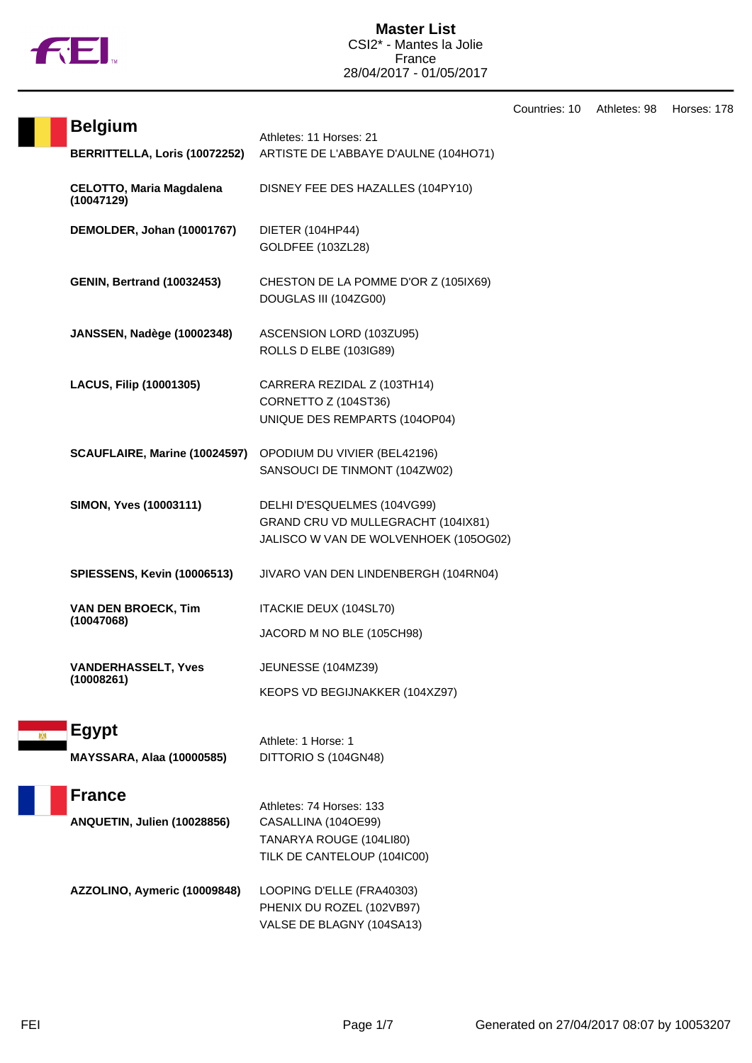

**Master List** CSI2\* - Mantes la Jolie France 28/04/2017 - 01/05/2017

|                                                  |                                               |                                                                                                            | Countries: 10 | Athletes: 98 | Horses: 178 |
|--------------------------------------------------|-----------------------------------------------|------------------------------------------------------------------------------------------------------------|---------------|--------------|-------------|
|                                                  | <b>Belgium</b>                                | Athletes: 11 Horses: 21                                                                                    |               |              |             |
|                                                  | BERRITTELLA, Loris (10072252)                 | ARTISTE DE L'ABBAYE D'AULNE (104HO71)                                                                      |               |              |             |
|                                                  | <b>CELOTTO, Maria Magdalena</b><br>(10047129) | DISNEY FEE DES HAZALLES (104PY10)                                                                          |               |              |             |
|                                                  | DEMOLDER, Johan (10001767)                    | DIETER (104HP44)<br>GOLDFEE (103ZL28)                                                                      |               |              |             |
|                                                  | <b>GENIN, Bertrand (10032453)</b>             | CHESTON DE LA POMME D'OR Z (105IX69)<br>DOUGLAS III (104ZG00)                                              |               |              |             |
|                                                  | <b>JANSSEN, Nadège (10002348)</b>             | ASCENSION LORD (103ZU95)<br>ROLLS D ELBE (103IG89)                                                         |               |              |             |
|                                                  | <b>LACUS, Filip (10001305)</b>                | CARRERA REZIDAL Z (103TH14)<br>CORNETTO Z (104ST36)<br>UNIQUE DES REMPARTS (104OP04)                       |               |              |             |
|                                                  | SCAUFLAIRE, Marine (10024597)                 | OPODIUM DU VIVIER (BEL42196)<br>SANSOUCI DE TINMONT (104ZW02)                                              |               |              |             |
|                                                  | SIMON, Yves (10003111)                        | DELHI D'ESQUELMES (104VG99)<br>GRAND CRU VD MULLEGRACHT (104IX81)<br>JALISCO W VAN DE WOLVENHOEK (105OG02) |               |              |             |
|                                                  | <b>SPIESSENS, Kevin (10006513)</b>            | JIVARO VAN DEN LINDENBERGH (104RN04)                                                                       |               |              |             |
|                                                  | <b>VAN DEN BROECK, Tim</b><br>(10047068)      | ITACKIE DEUX (104SL70)<br>JACORD M NO BLE (105CH98)                                                        |               |              |             |
|                                                  | <b>VANDERHASSELT, Yves</b><br>(10008261)      | JEUNESSE (104MZ39)<br>KEOPS VD BEGIJNAKKER (104XZ97)                                                       |               |              |             |
| <b>Egypt</b><br><b>MAYSSARA, Alaa (10000585)</b> |                                               | Athlete: 1 Horse: 1<br>DITTORIO S (104GN48)                                                                |               |              |             |
|                                                  | <b>France</b><br>ANQUETIN, Julien (10028856)  | Athletes: 74 Horses: 133<br>CASALLINA (104OE99)<br>TANARYA ROUGE (104LI80)<br>TILK DE CANTELOUP (104IC00)  |               |              |             |
|                                                  | AZZOLINO, Aymeric (10009848)                  | LOOPING D'ELLE (FRA40303)<br>PHENIX DU ROZEL (102VB97)<br>VALSE DE BLAGNY (104SA13)                        |               |              |             |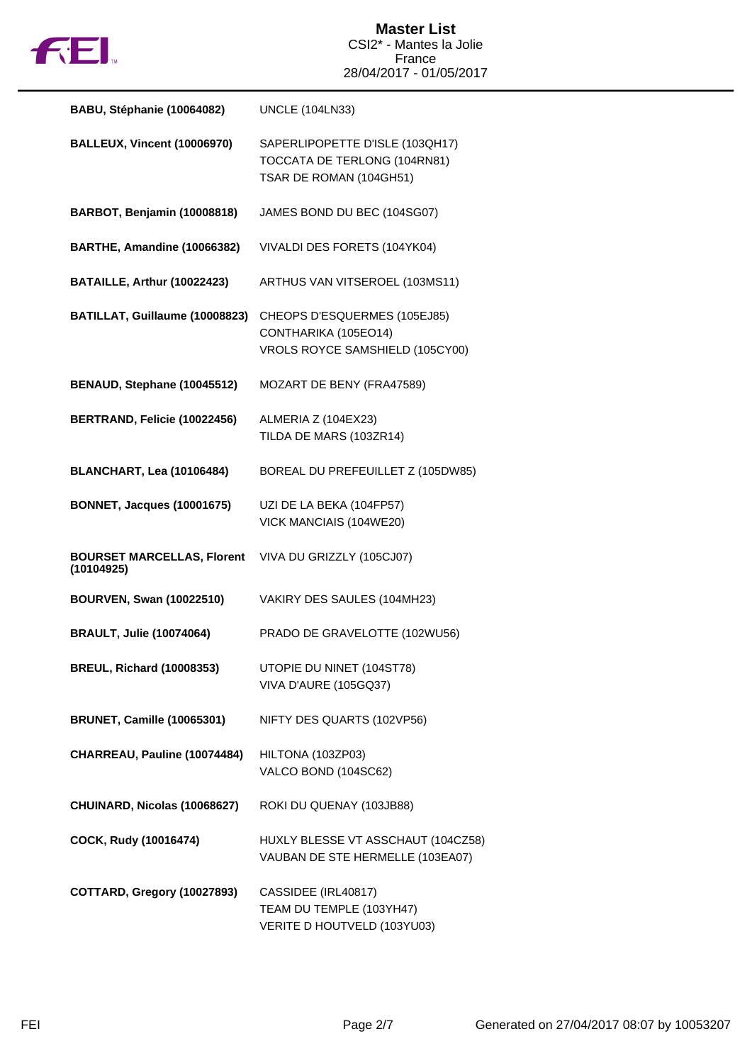

| BABU, Stéphanie (10064082)                      | <b>UNCLE (104LN33)</b>                                                                     |
|-------------------------------------------------|--------------------------------------------------------------------------------------------|
| <b>BALLEUX, Vincent (10006970)</b>              | SAPERLIPOPETTE D'ISLE (103QH17)<br>TOCCATA DE TERLONG (104RN81)<br>TSAR DE ROMAN (104GH51) |
| BARBOT, Benjamin (10008818)                     | JAMES BOND DU BEC (104SG07)                                                                |
| BARTHE, Amandine (10066382)                     | VIVALDI DES FORETS (104YK04)                                                               |
| BATAILLE, Arthur (10022423)                     | ARTHUS VAN VITSEROEL (103MS11)                                                             |
| BATILLAT, Guillaume (10008823)                  | CHEOPS D'ESQUERMES (105EJ85)<br>CONTHARIKA (105EO14)<br>VROLS ROYCE SAMSHIELD (105CY00)    |
| BENAUD, Stephane (10045512)                     | MOZART DE BENY (FRA47589)                                                                  |
| BERTRAND, Felicie (10022456)                    | ALMERIA Z (104EX23)<br>TILDA DE MARS (103ZR14)                                             |
| <b>BLANCHART, Lea (10106484)</b>                | BOREAL DU PREFEUILLET Z (105DW85)                                                          |
| <b>BONNET, Jacques (10001675)</b>               | UZI DE LA BEKA (104FP57)<br>VICK MANCIAIS (104WE20)                                        |
| <b>BOURSET MARCELLAS, Florent</b><br>(10104925) | VIVA DU GRIZZLY (105CJ07)                                                                  |
| <b>BOURVEN, Swan (10022510)</b>                 | VAKIRY DES SAULES (104MH23)                                                                |
| <b>BRAULT, Julie (10074064)</b>                 | PRADO DE GRAVELOTTE (102WU56)                                                              |
| <b>BREUL, Richard (10008353)</b>                | UTOPIE DU NINET (104ST78)<br>VIVA D'AURE (105GQ37)                                         |
| <b>BRUNET, Camille (10065301)</b>               | NIFTY DES QUARTS (102VP56)                                                                 |
| CHARREAU, Pauline (10074484)                    | HILTONA (103ZP03)<br>VALCO BOND (104SC62)                                                  |
| CHUINARD, Nicolas (10068627)                    | ROKI DU QUENAY (103JB88)                                                                   |
| COCK, Rudy (10016474)                           | HUXLY BLESSE VT ASSCHAUT (104CZ58)<br>VAUBAN DE STE HERMELLE (103EA07)                     |
| COTTARD, Gregory (10027893)                     | CASSIDEE (IRL40817)<br>TEAM DU TEMPLE (103YH47)<br>VERITE D HOUTVELD (103YU03)             |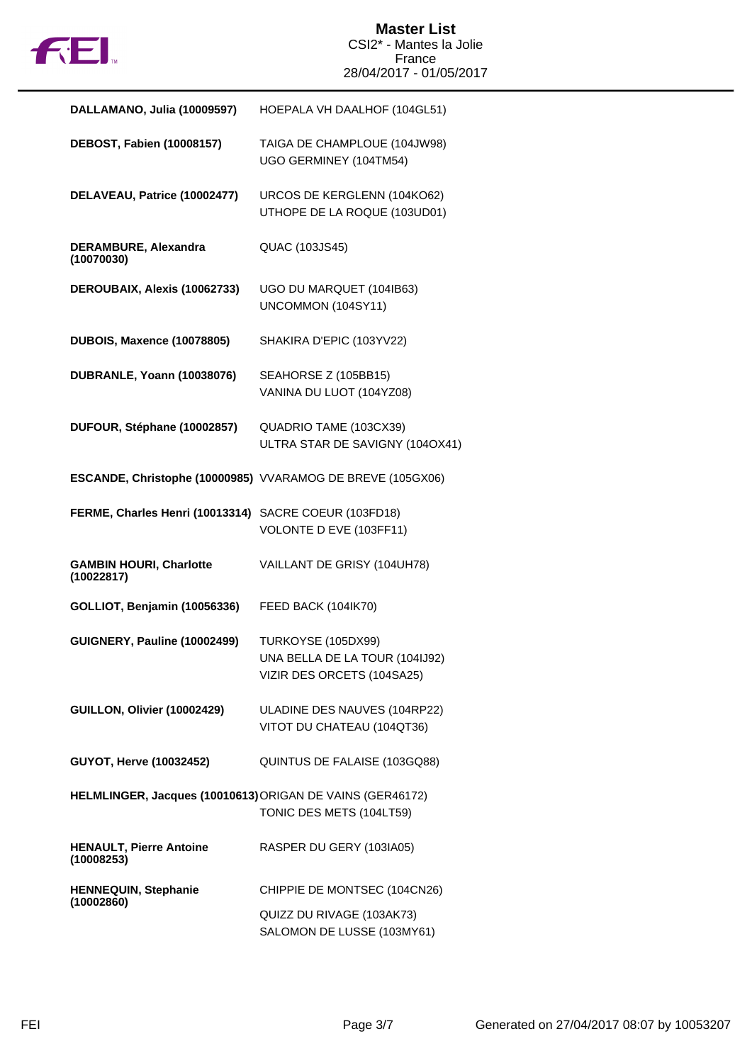

| DALLAMANO, Julia (10009597)                               | HOEPALA VH DAALHOF (104GL51)                                                       |
|-----------------------------------------------------------|------------------------------------------------------------------------------------|
| <b>DEBOST, Fabien (10008157)</b>                          | TAIGA DE CHAMPLOUE (104JW98)<br>UGO GERMINEY (104TM54)                             |
| DELAVEAU, Patrice (10002477)                              | URCOS DE KERGLENN (104KO62)<br>UTHOPE DE LA ROQUE (103UD01)                        |
| <b>DERAMBURE, Alexandra</b><br>(10070030)                 | QUAC (103JS45)                                                                     |
| DEROUBAIX, Alexis (10062733)                              | UGO DU MARQUET (104IB63)<br>UNCOMMON (104SY11)                                     |
| <b>DUBOIS, Maxence (10078805)</b>                         | SHAKIRA D'EPIC (103YV22)                                                           |
| <b>DUBRANLE, Yoann (10038076)</b>                         | SEAHORSE Z (105BB15)<br>VANINA DU LUOT (104YZ08)                                   |
| DUFOUR, Stéphane (10002857)                               | QUADRIO TAME (103CX39)<br>ULTRA STAR DE SAVIGNY (104OX41)                          |
|                                                           | ESCANDE, Christophe (10000985) VVARAMOG DE BREVE (105GX06)                         |
| FERME, Charles Henri (10013314)                           | SACRE COEUR (103FD18)<br>VOLONTE D EVE (103FF11)                                   |
| <b>GAMBIN HOURI, Charlotte</b><br>(10022817)              | VAILLANT DE GRISY (104UH78)                                                        |
| <b>GOLLIOT, Benjamin (10056336)</b>                       | FEED BACK (104IK70)                                                                |
| GUIGNERY, Pauline (10002499)                              | TURKOYSE (105DX99)<br>UNA BELLA DE LA TOUR (104IJ92)<br>VIZIR DES ORCETS (104SA25) |
| GUILLON, Olivier (10002429)                               | ULADINE DES NAUVES (104RP22)<br>VITOT DU CHATEAU (104QT36)                         |
| GUYOT, Herve (10032452)                                   | QUINTUS DE FALAISE (103GQ88)                                                       |
| HELMLINGER, Jacques (10010613) ORIGAN DE VAINS (GER46172) | TONIC DES METS (104LT59)                                                           |
| <b>HENAULT, Pierre Antoine</b><br>(10008253)              | RASPER DU GERY (103IA05)                                                           |
| <b>HENNEQUIN, Stephanie</b><br>(10002860)                 | CHIPPIE DE MONTSEC (104CN26)                                                       |
|                                                           | QUIZZ DU RIVAGE (103AK73)<br>SALOMON DE LUSSE (103MY61)                            |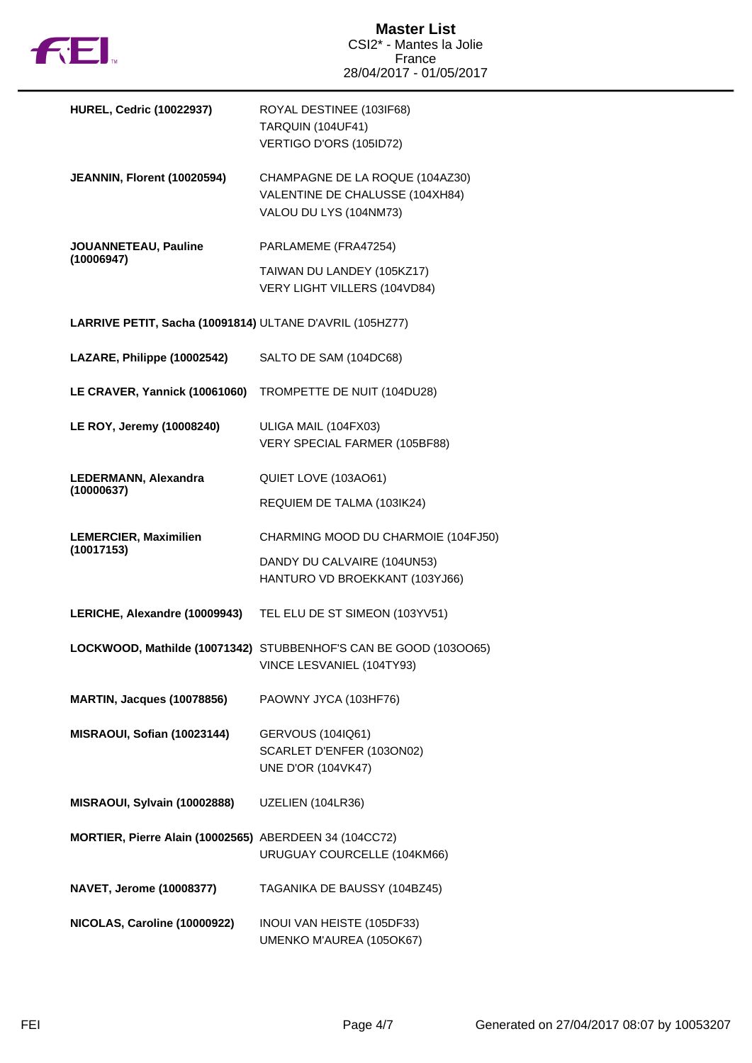

| <b>HUREL, Cedric (10022937)</b>                          | ROYAL DESTINEE (103IF68)<br><b>TARQUIN (104UF41)</b><br>VERTIGO D'ORS (105ID72)               |
|----------------------------------------------------------|-----------------------------------------------------------------------------------------------|
| JEANNIN, Florent (10020594)                              | CHAMPAGNE DE LA ROQUE (104AZ30)<br>VALENTINE DE CHALUSSE (104XH84)<br>VALOU DU LYS (104NM73)  |
| JOUANNETEAU, Pauline                                     | PARLAMEME (FRA47254)                                                                          |
| (10006947)                                               | TAIWAN DU LANDEY (105KZ17)<br>VERY LIGHT VILLERS (104VD84)                                    |
| LARRIVE PETIT, Sacha (10091814) ULTANE D'AVRIL (105HZ77) |                                                                                               |
| LAZARE, Philippe (10002542)                              | SALTO DE SAM (104DC68)                                                                        |
| LE CRAVER, Yannick (10061060)                            | TROMPETTE DE NUIT (104DU28)                                                                   |
| LE ROY, Jeremy (10008240)                                | ULIGA MAIL (104FX03)<br>VERY SPECIAL FARMER (105BF88)                                         |
| LEDERMANN, Alexandra<br>(10000637)                       | QUIET LOVE (103AO61)                                                                          |
|                                                          | REQUIEM DE TALMA (103IK24)                                                                    |
| <b>LEMERCIER, Maximilien</b><br>(10017153)               | CHARMING MOOD DU CHARMOIE (104FJ50)                                                           |
|                                                          | DANDY DU CALVAIRE (104UN53)<br>HANTURO VD BROEKKANT (103YJ66)                                 |
| LERICHE, Alexandre (10009943)                            | TEL ELU DE ST SIMEON (103YV51)                                                                |
|                                                          | LOCKWOOD, Mathilde (10071342) STUBBENHOF'S CAN BE GOOD (1030065)<br>VINCE LESVANIEL (104TY93) |
| <b>MARTIN, Jacques (10078856)</b>                        | PAOWNY JYCA (103HF76)                                                                         |
| MISRAOUI, Sofian (10023144)                              | GERVOUS (104IQ61)<br>SCARLET D'ENFER (103ON02)<br><b>UNE D'OR (104VK47)</b>                   |
| MISRAOUI, Sylvain (10002888)                             | UZELIEN (104LR36)                                                                             |
| MORTIER, Pierre Alain (10002565) ABERDEEN 34 (104CC72)   | URUGUAY COURCELLE (104KM66)                                                                   |
| <b>NAVET, Jerome (10008377)</b>                          | TAGANIKA DE BAUSSY (104BZ45)                                                                  |
| NICOLAS, Caroline (10000922)                             | INOUI VAN HEISTE (105DF33)<br>UMENKO M'AUREA (105OK67)                                        |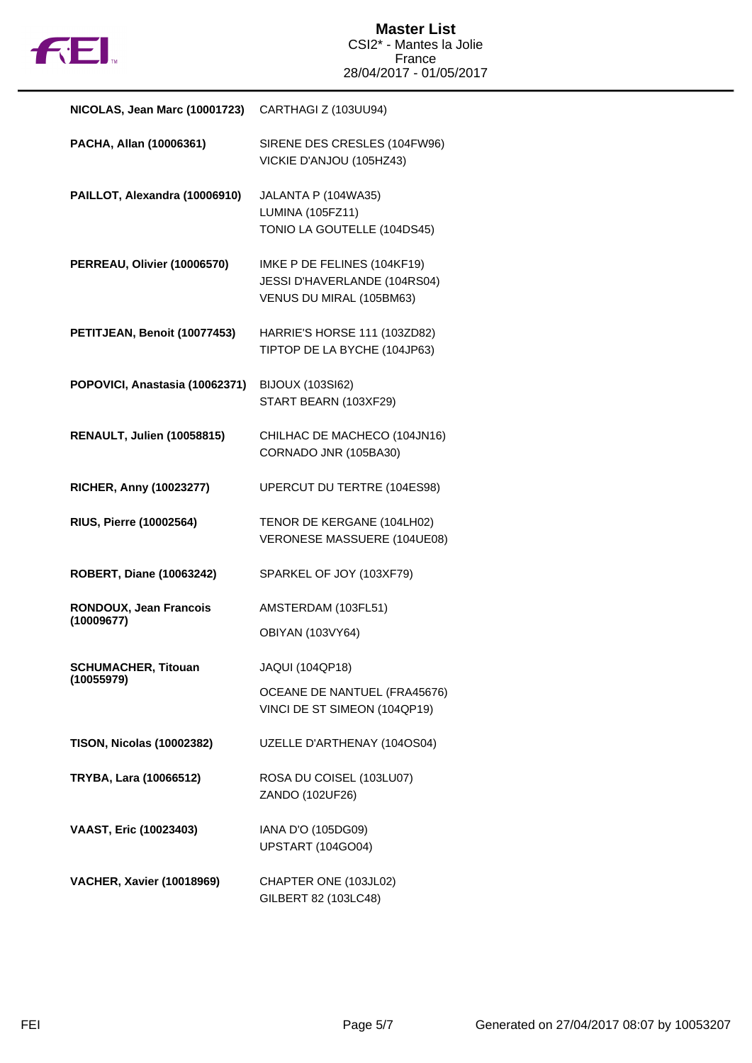

| NICOLAS, Jean Marc (10001723)        | CARTHAGI Z (103UU94)                                                                    |
|--------------------------------------|-----------------------------------------------------------------------------------------|
| PACHA, Allan (10006361)              | SIRENE DES CRESLES (104FW96)<br>VICKIE D'ANJOU (105HZ43)                                |
| PAILLOT, Alexandra (10006910)        | JALANTA P (104WA35)<br><b>LUMINA (105FZ11)</b><br>TONIO LA GOUTELLE (104DS45)           |
| PERREAU, Olivier (10006570)          | IMKE P DE FELINES (104KF19)<br>JESSI D'HAVERLANDE (104RS04)<br>VENUS DU MIRAL (105BM63) |
| PETITJEAN, Benoit (10077453)         | HARRIE'S HORSE 111 (103ZD82)<br>TIPTOP DE LA BYCHE (104JP63)                            |
| POPOVICI, Anastasia (10062371)       | <b>BIJOUX (103SI62)</b><br>START BEARN (103XF29)                                        |
| <b>RENAULT, Julien (10058815)</b>    | CHILHAC DE MACHECO (104JN16)<br>CORNADO JNR (105BA30)                                   |
| RICHER, Anny (10023277)              | UPERCUT DU TERTRE (104ES98)                                                             |
| RIUS, Pierre (10002564)              | TENOR DE KERGANE (104LH02)<br>VERONESE MASSUERE (104UE08)                               |
| ROBERT, Diane (10063242)             | SPARKEL OF JOY (103XF79)                                                                |
| RONDOUX, Jean Francois<br>(10009677) | AMSTERDAM (103FL51)<br><b>OBIYAN (103VY64)</b>                                          |
| <b>SCHUMACHER, Titouan</b>           | <b>JAQUI (104QP18)</b>                                                                  |
| (10055979)                           | OCEANE DE NANTUEL (FRA45676)<br>VINCI DE ST SIMEON (104QP19)                            |
| <b>TISON, Nicolas (10002382)</b>     | UZELLE D'ARTHENAY (104OS04)                                                             |
| TRYBA, Lara (10066512)               | ROSA DU COISEL (103LU07)<br>ZANDO (102UF26)                                             |
| <b>VAAST, Eric (10023403)</b>        | IANA D'O (105DG09)<br><b>UPSTART (104GO04)</b>                                          |
| <b>VACHER, Xavier (10018969)</b>     | CHAPTER ONE (103JL02)<br>GILBERT 82 (103LC48)                                           |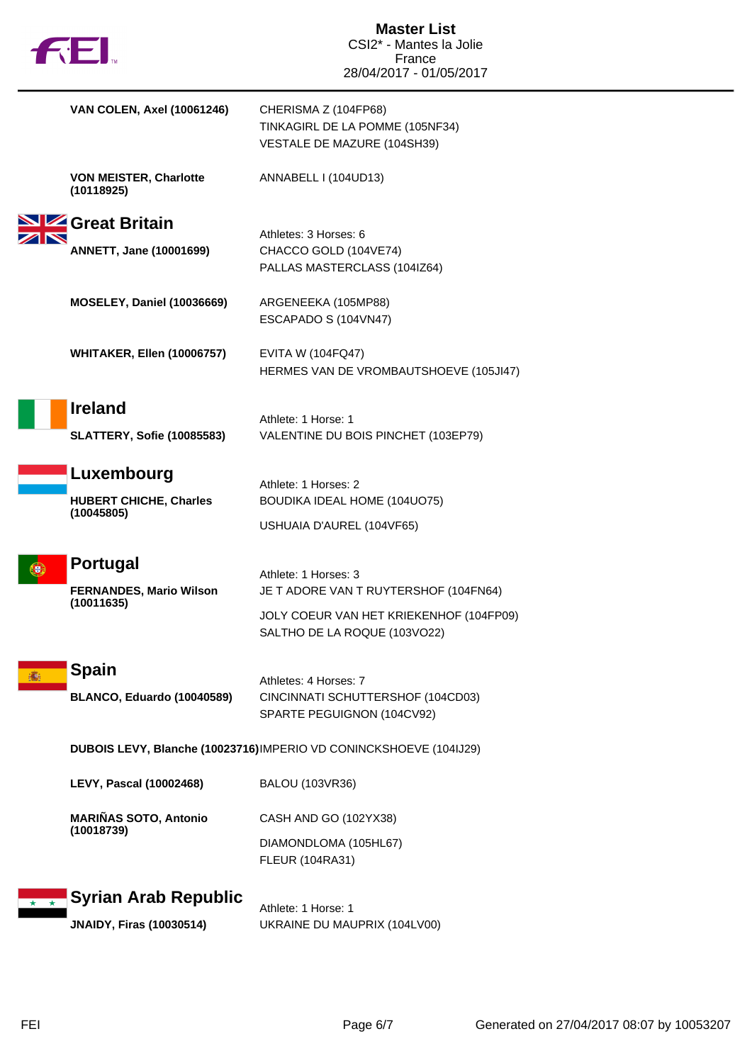|  | <b>TOL</b>                                                     | <b>Master List</b><br>CSI2* - Mantes la Jolie<br>France<br>28/04/2017 - 01/05/2017       |
|--|----------------------------------------------------------------|------------------------------------------------------------------------------------------|
|  | <b>VAN COLEN, Axel (10061246)</b>                              | CHERISMA Z (104FP68)<br>TINKAGIRL DE LA POMME (105NF34)<br>VESTALE DE MAZURE (104SH39)   |
|  | <b>VON MEISTER, Charlotte</b><br>(10118925)                    | ANNABELL I (104UD13)                                                                     |
|  | Great Britain                                                  |                                                                                          |
|  | <b>ANNETT, Jane (10001699)</b>                                 | Athletes: 3 Horses: 6<br>CHACCO GOLD (104VE74)<br>PALLAS MASTERCLASS (104IZ64)           |
|  | <b>MOSELEY, Daniel (10036669)</b>                              | ARGENEEKA (105MP88)<br>ESCAPADO S (104VN47)                                              |
|  | <b>WHITAKER, Ellen (10006757)</b>                              | EVITA W (104FQ47)<br>HERMES VAN DE VROMBAUTSHOEVE (105JI47)                              |
|  | <b>Ireland</b>                                                 | Athlete: 1 Horse: 1                                                                      |
|  | <b>SLATTERY, Sofie (10085583)</b>                              | VALENTINE DU BOIS PINCHET (103EP79)                                                      |
|  | Luxembourg                                                     | Athlete: 1 Horses: 2                                                                     |
|  | <b>HUBERT CHICHE, Charles</b>                                  | BOUDIKA IDEAL HOME (104UO75)                                                             |
|  | (10045805)                                                     | USHUAIA D'AUREL (104VF65)                                                                |
|  | Portugal                                                       |                                                                                          |
|  | <b>FERNANDES, Mario Wilson</b><br>(10011635)                   | Athlete: 1 Horses: 3                                                                     |
|  |                                                                | JE T ADORE VAN T RUYTERSHOF (104FN64)<br>JOLY COEUR VAN HET KRIEKENHOF (104FP09)         |
|  |                                                                | SALTHO DE LA ROQUE (103VO22)                                                             |
|  | <b>Spain</b><br>BLANCO, Eduardo (10040589)                     | Athletes: 4 Horses: 7<br>CINCINNATI SCHUTTERSHOF (104CD03)<br>SPARTE PEGUIGNON (104CV92) |
|  |                                                                | DUBOIS LEVY, Blanche (10023716) IMPERIO VD CONINCKSHOEVE (104IJ29)                       |
|  | <b>LEVY, Pascal (10002468)</b>                                 | BALOU (103VR36)                                                                          |
|  | <b>MARIÑAS SOTO, Antonio</b>                                   | CASH AND GO (102YX38)                                                                    |
|  | (10018739)                                                     | DIAMONDLOMA (105HL67)<br><b>FLEUR (104RA31)</b>                                          |
|  | <b>Syrian Arab Republic</b><br><b>JNAIDY, Firas (10030514)</b> | Athlete: 1 Horse: 1<br>UKRAINE DU MAUPRIX (104LV00)                                      |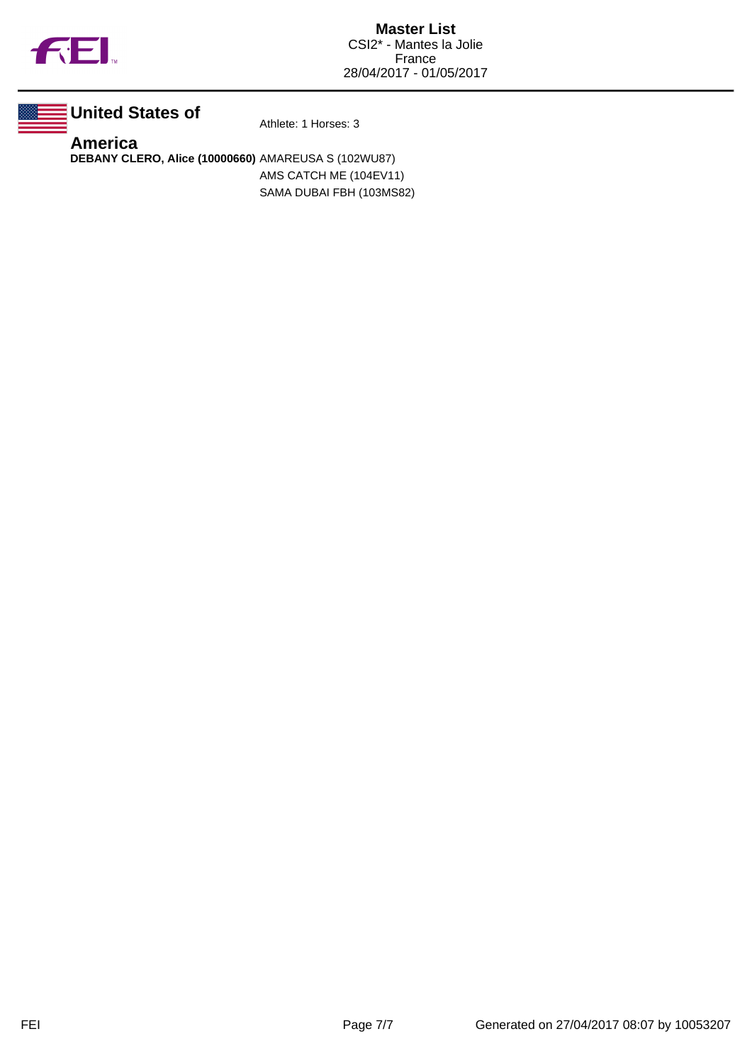

**United States of**

Athlete: 1 Horses: 3

**America DEBANY CLERO, Alice (10000660)** AMAREUSA S (102WU87) AMS CATCH ME (104EV11)

SAMA DUBAI FBH (103MS82)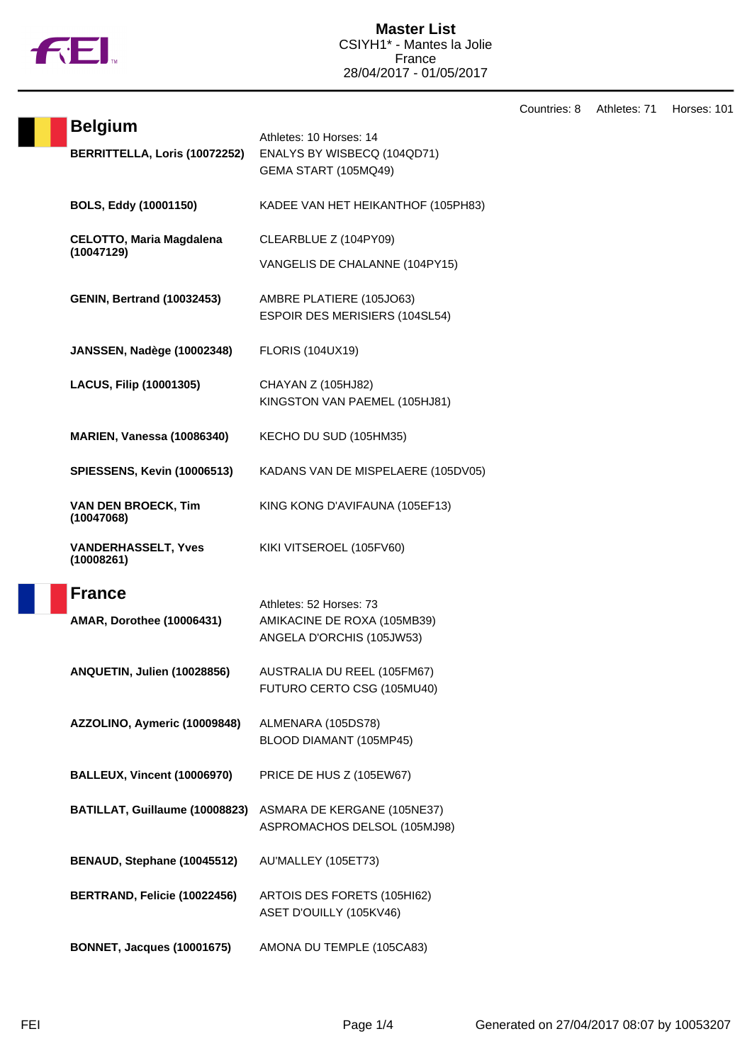

| <b>Belgium</b>                                | Athletes: 10 Horses: 14                                     |
|-----------------------------------------------|-------------------------------------------------------------|
| BERRITTELLA, Loris (10072252)                 | ENALYS BY WISBECQ (104QD71)<br>GEMA START (105MQ49)         |
| BOLS, Eddy (10001150)                         | KADEE VAN HET HEIKANTHOF (105PH83)                          |
| <b>CELOTTO, Maria Magdalena</b><br>(10047129) | CLEARBLUE Z (104PY09)<br>VANGELIS DE CHALANNE (104PY15)     |
| <b>GENIN, Bertrand (10032453)</b>             | AMBRE PLATIERE (105JO63)<br>ESPOIR DES MERISIERS (104SL54)  |
| <b>JANSSEN, Nadège (10002348)</b>             | <b>FLORIS (104UX19)</b>                                     |
| <b>LACUS, Filip (10001305)</b>                | CHAYAN Z (105HJ82)<br>KINGSTON VAN PAEMEL (105HJ81)         |
| <b>MARIEN, Vanessa (10086340)</b>             | KECHO DU SUD (105HM35)                                      |
| <b>SPIESSENS, Kevin (10006513)</b>            | KADANS VAN DE MISPELAERE (105DV05)                          |
| <b>VAN DEN BROECK, Tim</b><br>(10047068)      | KING KONG D'AVIFAUNA (105EF13)                              |
| <b>VANDERHASSELT, Yves</b><br>(10008261)      | KIKI VITSEROEL (105FV60)                                    |
| <b>France</b>                                 | Athletes: 52 Horses: 73                                     |
| <b>AMAR, Dorothee (10006431)</b>              | AMIKACINE DE ROXA (105MB39)<br>ANGELA D'ORCHIS (105JW53)    |
| ANQUETIN, Julien (10028856)                   | AUSTRALIA DU REEL (105FM67)<br>FUTURO CERTO CSG (105MU40)   |
| AZZOLINO, Aymeric (10009848)                  | ALMENARA (105DS78)<br>BLOOD DIAMANT (105MP45)               |
| <b>BALLEUX, Vincent (10006970)</b>            | PRICE DE HUS Z (105EW67)                                    |
| BATILLAT, Guillaume (10008823)                | ASMARA DE KERGANE (105NE37)<br>ASPROMACHOS DELSOL (105MJ98) |
| BENAUD, Stephane (10045512)                   | AU'MALLEY (105ET73)                                         |
| BERTRAND, Felicie (10022456)                  | ARTOIS DES FORETS (105HI62)<br>ASET D'OUILLY (105KV46)      |
| <b>BONNET, Jacques (10001675)</b>             | AMONA DU TEMPLE (105CA83)                                   |

Countries: 8 Athletes: 71 Horses: 101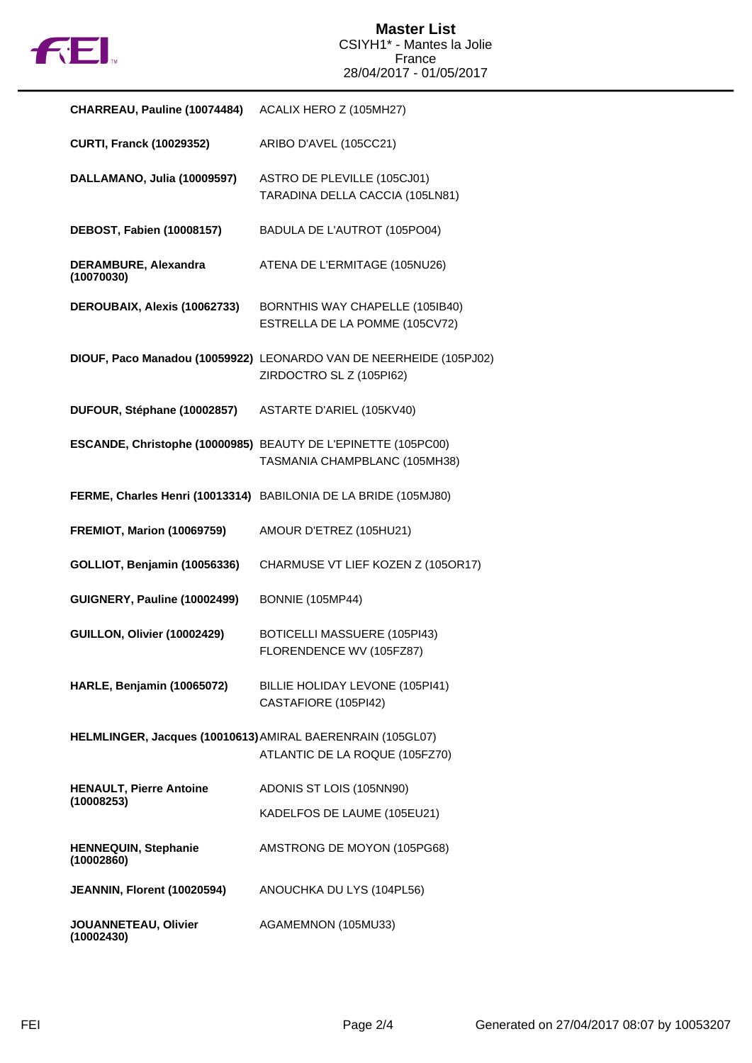

| CHARREAU, Pauline (10074484)                               | ACALIX HERO Z (105MH27)                                                                        |
|------------------------------------------------------------|------------------------------------------------------------------------------------------------|
| <b>CURTI, Franck (10029352)</b>                            | ARIBO D'AVEL (105CC21)                                                                         |
| DALLAMANO, Julia (10009597)                                | ASTRO DE PLEVILLE (105CJ01)<br>TARADINA DELLA CACCIA (105LN81)                                 |
| DEBOST, Fabien (10008157)                                  | BADULA DE L'AUTROT (105PO04)                                                                   |
| <b>DERAMBURE, Alexandra</b><br>(10070030)                  | ATENA DE L'ERMITAGE (105NU26)                                                                  |
| DEROUBAIX, Alexis (10062733)                               | BORNTHIS WAY CHAPELLE (105IB40)<br>ESTRELLA DE LA POMME (105CV72)                              |
|                                                            | DIOUF, Paco Manadou (10059922) LEONARDO VAN DE NEERHEIDE (105PJ02)<br>ZIRDOCTRO SL Z (105PI62) |
| DUFOUR, Stéphane (10002857)                                | ASTARTE D'ARIEL (105KV40)                                                                      |
|                                                            | ESCANDE, Christophe (10000985) BEAUTY DE L'EPINETTE (105PC00)<br>TASMANIA CHAMPBLANC (105MH38) |
|                                                            | FERME, Charles Henri (10013314) BABILONIA DE LA BRIDE (105MJ80)                                |
| <b>FREMIOT, Marion (10069759)</b>                          | AMOUR D'ETREZ (105HU21)                                                                        |
| <b>GOLLIOT, Benjamin (10056336)</b>                        | CHARMUSE VT LIEF KOZEN Z (105OR17)                                                             |
| GUIGNERY, Pauline (10002499)                               | <b>BONNIE (105MP44)</b>                                                                        |
| GUILLON, Olivier (10002429)                                | <b>BOTICELLI MASSUERE (105PI43)</b><br>FLORENDENCE WV (105FZ87)                                |
| HARLE, Benjamin (10065072)                                 | BILLIE HOLIDAY LEVONE (105PI41)<br>CASTAFIORE (105PI42)                                        |
| HELMLINGER, Jacques (10010613) AMIRAL BAERENRAIN (105GL07) | ATLANTIC DE LA ROQUE (105FZ70)                                                                 |
| <b>HENAULT, Pierre Antoine</b>                             | ADONIS ST LOIS (105NN90)                                                                       |
| (10008253)                                                 | KADELFOS DE LAUME (105EU21)                                                                    |
| <b>HENNEQUIN, Stephanie</b><br>(10002860)                  | AMSTRONG DE MOYON (105PG68)                                                                    |
| JEANNIN, Florent (10020594)                                | ANOUCHKA DU LYS (104PL56)                                                                      |
| JOUANNETEAU, Olivier<br>(10002430)                         | AGAMEMNON (105MU33)                                                                            |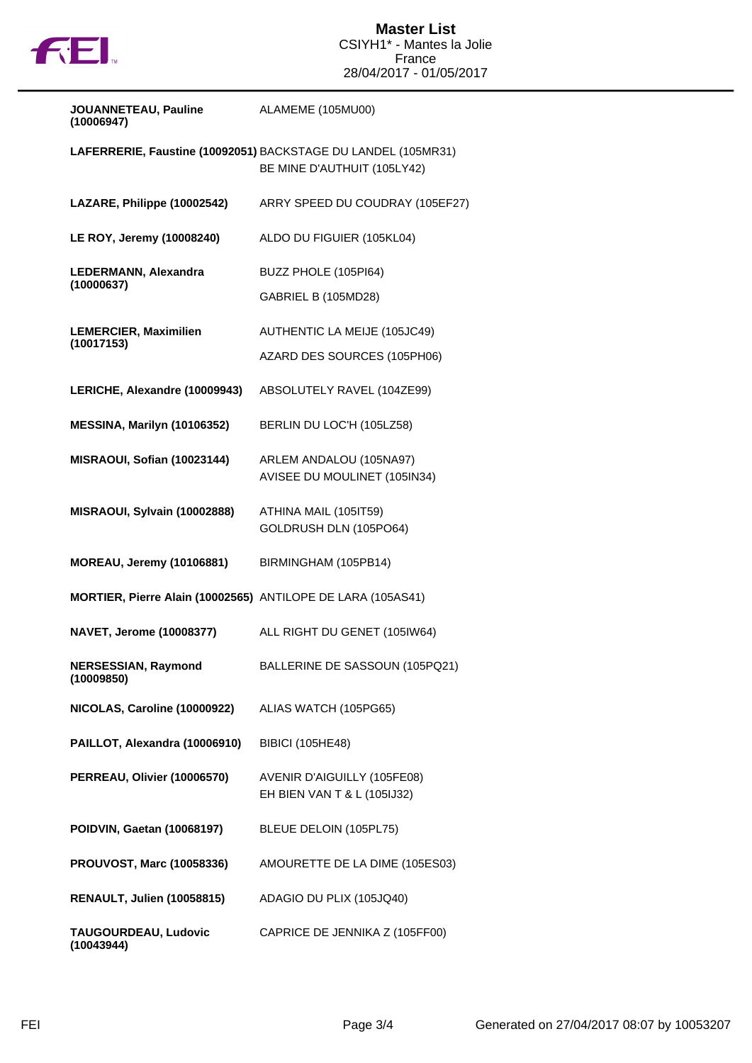

| JOUANNETEAU, Pauline<br>(10006947)                          | ALAMEME (105MU00)                                                                            |
|-------------------------------------------------------------|----------------------------------------------------------------------------------------------|
|                                                             | LAFERRERIE, Faustine (10092051) BACKSTAGE DU LANDEL (105MR31)<br>BE MINE D'AUTHUIT (105LY42) |
| LAZARE, Philippe (10002542)                                 | ARRY SPEED DU COUDRAY (105EF27)                                                              |
| LE ROY, Jeremy (10008240)                                   | ALDO DU FIGUIER (105KL04)                                                                    |
| LEDERMANN, Alexandra<br>(10000637)                          | BUZZ PHOLE (105PI64)                                                                         |
|                                                             | GABRIEL B (105MD28)                                                                          |
| <b>LEMERCIER, Maximilien</b><br>(10017153)                  | AUTHENTIC LA MEIJE (105JC49)                                                                 |
|                                                             | AZARD DES SOURCES (105PH06)                                                                  |
| LERICHE, Alexandre (10009943)                               | ABSOLUTELY RAVEL (104ZE99)                                                                   |
| MESSINA, Marilyn (10106352)                                 | BERLIN DU LOC'H (105LZ58)                                                                    |
| MISRAOUI, Sofian (10023144)                                 | ARLEM ANDALOU (105NA97)<br>AVISEE DU MOULINET (105IN34)                                      |
| MISRAOUI, Sylvain (10002888)                                | ATHINA MAIL (105IT59)<br>GOLDRUSH DLN (105PO64)                                              |
| <b>MOREAU, Jeremy (10106881)</b>                            | BIRMINGHAM (105PB14)                                                                         |
| MORTIER, Pierre Alain (10002565) ANTILOPE DE LARA (105AS41) |                                                                                              |
| <b>NAVET, Jerome (10008377)</b>                             | ALL RIGHT DU GENET (105IW64)                                                                 |
| <b>NERSESSIAN, Raymond</b><br>(10009850)                    | BALLERINE DE SASSOUN (105PQ21)                                                               |
| NICOLAS, Caroline (10000922)                                | ALIAS WATCH (105PG65)                                                                        |
| PAILLOT, Alexandra (10006910)                               | <b>BIBICI (105HE48)</b>                                                                      |
| PERREAU, Olivier (10006570)                                 | AVENIR D'AIGUILLY (105FE08)<br>EH BIEN VAN T & L (105IJ32)                                   |
| POIDVIN, Gaetan (10068197)                                  | BLEUE DELOIN (105PL75)                                                                       |
| <b>PROUVOST, Marc (10058336)</b>                            | AMOURETTE DE LA DIME (105ES03)                                                               |
| RENAULT, Julien (10058815)                                  | ADAGIO DU PLIX (105JQ40)                                                                     |
| TAUGOURDEAU, Ludovic<br>(10043944)                          | CAPRICE DE JENNIKA Z (105FF00)                                                               |